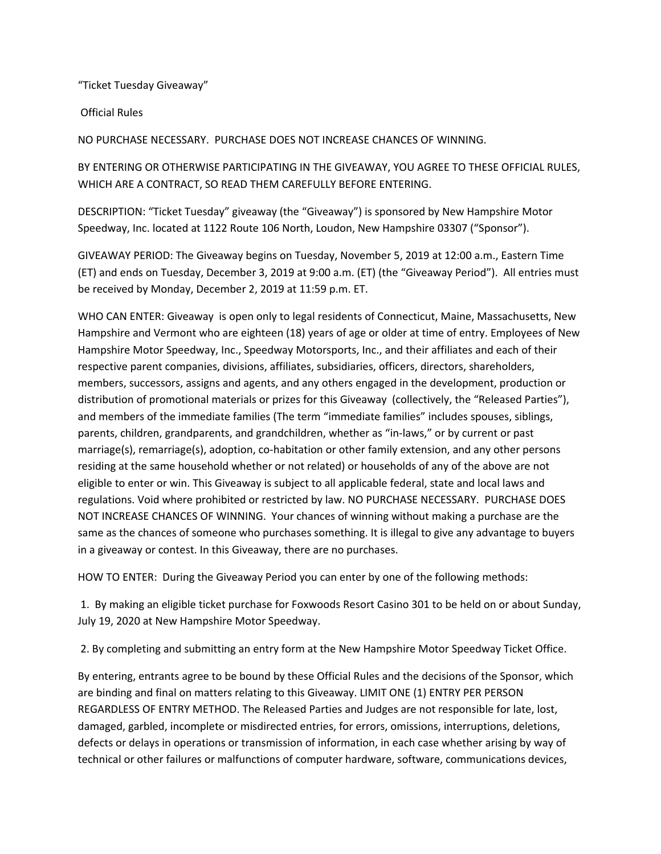"Ticket Tuesday Giveaway"

Official Rules

NO PURCHASE NECESSARY. PURCHASE DOES NOT INCREASE CHANCES OF WINNING.

BY ENTERING OR OTHERWISE PARTICIPATING IN THE GIVEAWAY, YOU AGREE TO THESE OFFICIAL RULES, WHICH ARE A CONTRACT, SO READ THEM CAREFULLY BEFORE ENTERING.

DESCRIPTION: "Ticket Tuesday" giveaway (the "Giveaway") is sponsored by New Hampshire Motor Speedway, Inc. located at 1122 Route 106 North, Loudon, New Hampshire 03307 ("Sponsor").

GIVEAWAY PERIOD: The Giveaway begins on Tuesday, November 5, 2019 at 12:00 a.m., Eastern Time (ET) and ends on Tuesday, December 3, 2019 at 9:00 a.m. (ET) (the "Giveaway Period"). All entries must be received by Monday, December 2, 2019 at 11:59 p.m. ET.

WHO CAN ENTER: Giveaway is open only to legal residents of Connecticut, Maine, Massachusetts, New Hampshire and Vermont who are eighteen (18) years of age or older at time of entry. Employees of New Hampshire Motor Speedway, Inc., Speedway Motorsports, Inc., and their affiliates and each of their respective parent companies, divisions, affiliates, subsidiaries, officers, directors, shareholders, members, successors, assigns and agents, and any others engaged in the development, production or distribution of promotional materials or prizes for this Giveaway (collectively, the "Released Parties"), and members of the immediate families (The term "immediate families" includes spouses, siblings, parents, children, grandparents, and grandchildren, whether as "in-laws," or by current or past marriage(s), remarriage(s), adoption, co-habitation or other family extension, and any other persons residing at the same household whether or not related) or households of any of the above are not eligible to enter or win. This Giveaway is subject to all applicable federal, state and local laws and regulations. Void where prohibited or restricted by law. NO PURCHASE NECESSARY. PURCHASE DOES NOT INCREASE CHANCES OF WINNING. Your chances of winning without making a purchase are the same as the chances of someone who purchases something. It is illegal to give any advantage to buyers in a giveaway or contest. In this Giveaway, there are no purchases.

HOW TO ENTER: During the Giveaway Period you can enter by one of the following methods:

 1. By making an eligible ticket purchase for Foxwoods Resort Casino 301 to be held on or about Sunday, July 19, 2020 at New Hampshire Motor Speedway.

2. By completing and submitting an entry form at the New Hampshire Motor Speedway Ticket Office.

By entering, entrants agree to be bound by these Official Rules and the decisions of the Sponsor, which are binding and final on matters relating to this Giveaway. LIMIT ONE (1) ENTRY PER PERSON REGARDLESS OF ENTRY METHOD. The Released Parties and Judges are not responsible for late, lost, damaged, garbled, incomplete or misdirected entries, for errors, omissions, interruptions, deletions, defects or delays in operations or transmission of information, in each case whether arising by way of technical or other failures or malfunctions of computer hardware, software, communications devices,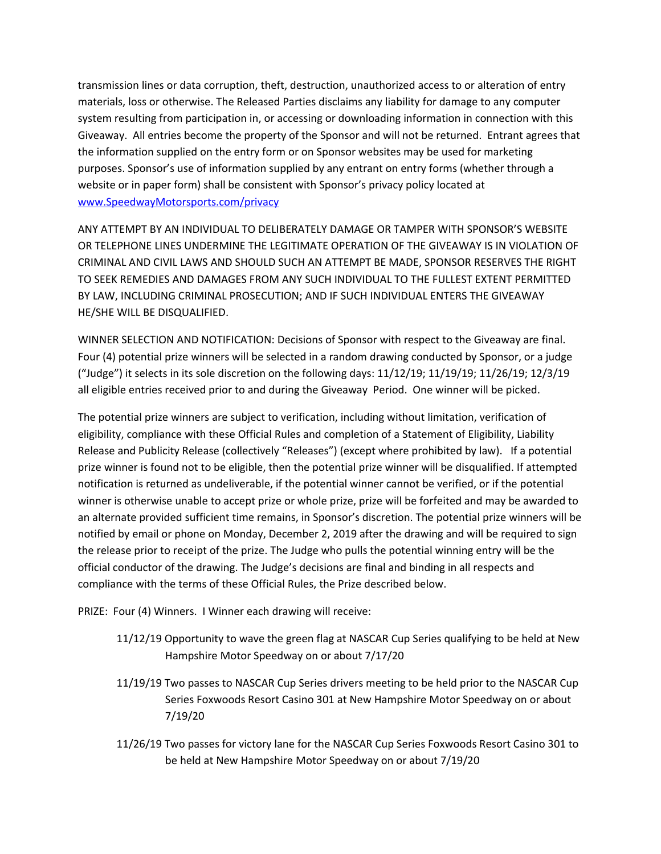transmission lines or data corruption, theft, destruction, unauthorized access to or alteration of entry materials, loss or otherwise. The Released Parties disclaims any liability for damage to any computer system resulting from participation in, or accessing or downloading information in connection with this Giveaway. All entries become the property of the Sponsor and will not be returned. Entrant agrees that the information supplied on the entry form or on Sponsor websites may be used for marketing purposes. Sponsor's use of information supplied by any entrant on entry forms (whether through a website or in paper form) shall be consistent with Sponsor's privacy policy located at [www.SpeedwayMotorsports.com/privacy](http://www.SpeedwayMotorsports.com/privacy) 

ANY ATTEMPT BY AN INDIVIDUAL TO DELIBERATELY DAMAGE OR TAMPER WITH SPONSOR'S WEBSITE OR TELEPHONE LINES UNDERMINE THE LEGITIMATE OPERATION OF THE GIVEAWAY IS IN VIOLATION OF CRIMINAL AND CIVIL LAWS AND SHOULD SUCH AN ATTEMPT BE MADE, SPONSOR RESERVES THE RIGHT TO SEEK REMEDIES AND DAMAGES FROM ANY SUCH INDIVIDUAL TO THE FULLEST EXTENT PERMITTED BY LAW, INCLUDING CRIMINAL PROSECUTION; AND IF SUCH INDIVIDUAL ENTERS THE GIVEAWAY HE/SHE WILL BE DISQUALIFIED.

WINNER SELECTION AND NOTIFICATION: Decisions of Sponsor with respect to the Giveaway are final. Four (4) potential prize winners will be selected in a random drawing conducted by Sponsor, or a judge ("Judge") it selects in its sole discretion on the following days: 11/12/19; 11/19/19; 11/26/19; 12/3/19 all eligible entries received prior to and during the Giveaway Period. One winner will be picked.

The potential prize winners are subject to verification, including without limitation, verification of eligibility, compliance with these Official Rules and completion of a Statement of Eligibility, Liability Release and Publicity Release (collectively "Releases") (except where prohibited by law). If a potential prize winner is found not to be eligible, then the potential prize winner will be disqualified. If attempted notification is returned as undeliverable, if the potential winner cannot be verified, or if the potential winner is otherwise unable to accept prize or whole prize, prize will be forfeited and may be awarded to an alternate provided sufficient time remains, in Sponsor's discretion. The potential prize winners will be notified by email or phone on Monday, December 2, 2019 after the drawing and will be required to sign the release prior to receipt of the prize. The Judge who pulls the potential winning entry will be the official conductor of the drawing. The Judge's decisions are final and binding in all respects and compliance with the terms of these Official Rules, the Prize described below.

PRIZE: Four (4) Winners. I Winner each drawing will receive:

- 11/12/19 Opportunity to wave the green flag at NASCAR Cup Series qualifying to be held at New Hampshire Motor Speedway on or about 7/17/20
- 11/19/19 Two passes to NASCAR Cup Series drivers meeting to be held prior to the NASCAR Cup Series Foxwoods Resort Casino 301 at New Hampshire Motor Speedway on or about 7/19/20
- 11/26/19 Two passes for victory lane for the NASCAR Cup Series Foxwoods Resort Casino 301 to be held at New Hampshire Motor Speedway on or about 7/19/20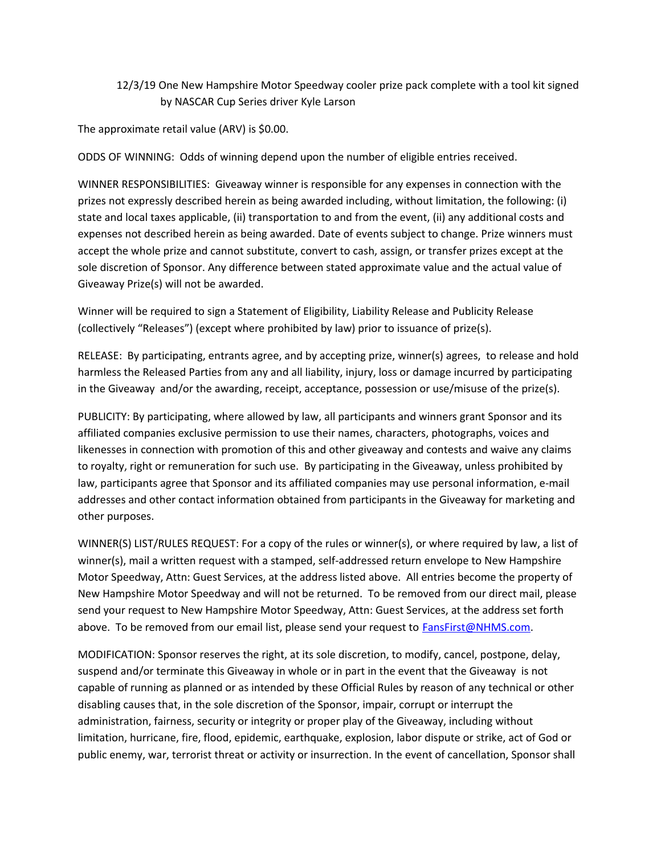## 12/3/19 One New Hampshire Motor Speedway cooler prize pack complete with a tool kit signed by NASCAR Cup Series driver Kyle Larson

The approximate retail value (ARV) is \$0.00.

ODDS OF WINNING: Odds of winning depend upon the number of eligible entries received.

WINNER RESPONSIBILITIES: Giveaway winner is responsible for any expenses in connection with the prizes not expressly described herein as being awarded including, without limitation, the following: (i) state and local taxes applicable, (ii) transportation to and from the event, (ii) any additional costs and expenses not described herein as being awarded. Date of events subject to change. Prize winners must accept the whole prize and cannot substitute, convert to cash, assign, or transfer prizes except at the sole discretion of Sponsor. Any difference between stated approximate value and the actual value of Giveaway Prize(s) will not be awarded.

Winner will be required to sign a Statement of Eligibility, Liability Release and Publicity Release (collectively "Releases") (except where prohibited by law) prior to issuance of prize(s).

RELEASE: By participating, entrants agree, and by accepting prize, winner(s) agrees, to release and hold harmless the Released Parties from any and all liability, injury, loss or damage incurred by participating in the Giveaway and/or the awarding, receipt, acceptance, possession or use/misuse of the prize(s).

PUBLICITY: By participating, where allowed by law, all participants and winners grant Sponsor and its affiliated companies exclusive permission to use their names, characters, photographs, voices and likenesses in connection with promotion of this and other giveaway and contests and waive any claims to royalty, right or remuneration for such use. By participating in the Giveaway, unless prohibited by law, participants agree that Sponsor and its affiliated companies may use personal information, e-mail addresses and other contact information obtained from participants in the Giveaway for marketing and other purposes.

WINNER(S) LIST/RULES REQUEST: For a copy of the rules or winner(s), or where required by law, a list of winner(s), mail a written request with a stamped, self-addressed return envelope to New Hampshire Motor Speedway, Attn: Guest Services, at the address listed above. All entries become the property of New Hampshire Motor Speedway and will not be returned. To be removed from our direct mail, please send your request to New Hampshire Motor Speedway, Attn: Guest Services, at the address set forth above. To be removed from our email list, please send your request to **FansFirst@NHMS.com**.

MODIFICATION: Sponsor reserves the right, at its sole discretion, to modify, cancel, postpone, delay, suspend and/or terminate this Giveaway in whole or in part in the event that the Giveaway is not capable of running as planned or as intended by these Official Rules by reason of any technical or other disabling causes that, in the sole discretion of the Sponsor, impair, corrupt or interrupt the administration, fairness, security or integrity or proper play of the Giveaway, including without limitation, hurricane, fire, flood, epidemic, earthquake, explosion, labor dispute or strike, act of God or public enemy, war, terrorist threat or activity or insurrection. In the event of cancellation, Sponsor shall